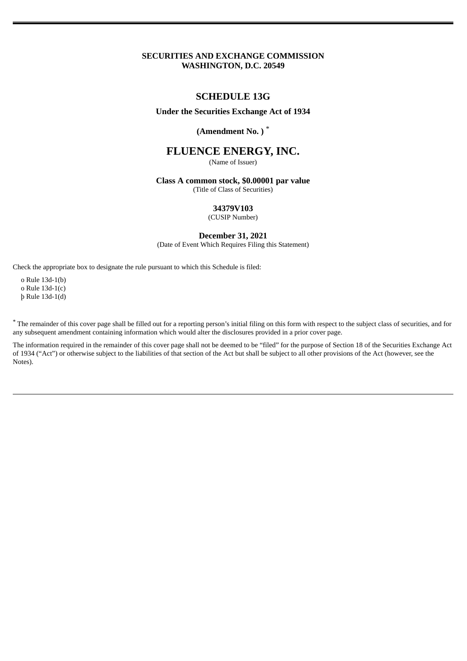## **SECURITIES AND EXCHANGE COMMISSION WASHINGTON, D.C. 20549**

## **SCHEDULE 13G**

## **Under the Securities Exchange Act of 1934**

# **(Amendment No. )** \*

# **FLUENCE ENERGY, INC.**

(Name of Issuer)

#### **Class A common stock, \$0.00001 par value** (Title of Class of Securities)

# **34379V103**

(CUSIP Number)

### **December 31, 2021**

(Date of Event Which Requires Filing this Statement)

Check the appropriate box to designate the rule pursuant to which this Schedule is filed:

o Rule 13d-1(b) o Rule 13d-1(c) þ Rule 13d-1(d)

\* The remainder of this cover page shall be filled out for a reporting person's initial filing on this form with respect to the subject class of securities, and for any subsequent amendment containing information which would alter the disclosures provided in a prior cover page.

The information required in the remainder of this cover page shall not be deemed to be "filed" for the purpose of Section 18 of the Securities Exchange Act of 1934 ("Act") or otherwise subject to the liabilities of that section of the Act but shall be subject to all other provisions of the Act (however, see the Notes).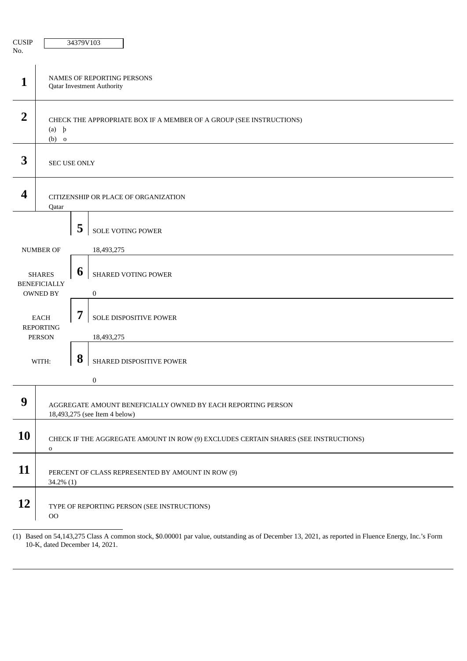| <b>CUSIP</b><br>No.                                     |                                                                                                    | 34379V103 |                                         |  |  |
|---------------------------------------------------------|----------------------------------------------------------------------------------------------------|-----------|-----------------------------------------|--|--|
| 1                                                       | NAMES OF REPORTING PERSONS<br><b>Qatar Investment Authority</b>                                    |           |                                         |  |  |
| $\overline{2}$                                          | CHECK THE APPROPRIATE BOX IF A MEMBER OF A GROUP (SEE INSTRUCTIONS)<br>$(a)$ $\uparrow$<br>$(b)$ o |           |                                         |  |  |
| 3                                                       | SEC USE ONLY                                                                                       |           |                                         |  |  |
| 4                                                       | CITIZENSHIP OR PLACE OF ORGANIZATION<br>Qatar                                                      |           |                                         |  |  |
|                                                         |                                                                                                    | 5         | SOLE VOTING POWER                       |  |  |
|                                                         | <b>NUMBER OF</b>                                                                                   |           | 18,493,275                              |  |  |
| <b>SHARES</b><br><b>BENEFICIALLY</b><br><b>OWNED BY</b> |                                                                                                    | 6         | SHARED VOTING POWER<br>$\boldsymbol{0}$ |  |  |
| <b>EACH</b><br><b>REPORTING</b><br><b>PERSON</b>        |                                                                                                    | 7         | SOLE DISPOSITIVE POWER<br>18,493,275    |  |  |
|                                                         | WITH:                                                                                              | 8         | SHARED DISPOSITIVE POWER                |  |  |
|                                                         |                                                                                                    | $\pmb{0}$ |                                         |  |  |
| 9                                                       | AGGREGATE AMOUNT BENEFICIALLY OWNED BY EACH REPORTING PERSON<br>18,493,275 (see Item 4 below)      |           |                                         |  |  |
| 10                                                      | CHECK IF THE AGGREGATE AMOUNT IN ROW (9) EXCLUDES CERTAIN SHARES (SEE INSTRUCTIONS)<br>$\mathbf O$ |           |                                         |  |  |
| 11                                                      | PERCENT OF CLASS REPRESENTED BY AMOUNT IN ROW (9)<br>$34.2\%$ (1)                                  |           |                                         |  |  |
| 12                                                      | TYPE OF REPORTING PERSON (SEE INSTRUCTIONS)<br>$_{\rm OO}$                                         |           |                                         |  |  |

<sup>(1)</sup> Based on 54,143,275 Class A common stock, \$0.00001 par value, outstanding as of December 13, 2021, as reported in Fluence Energy, Inc.'s Form 10-K, dated December 14, 2021.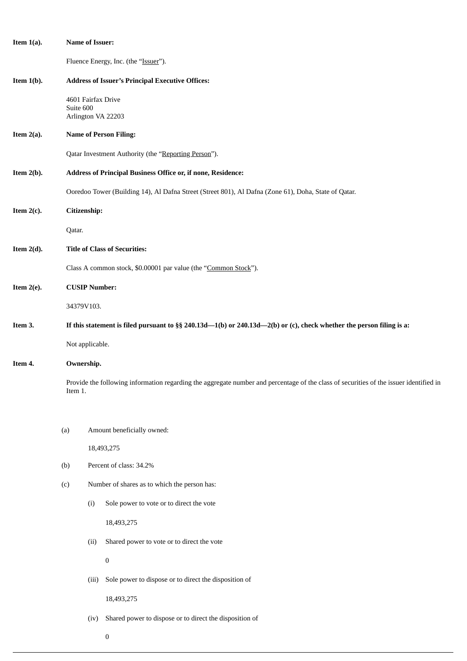| Item $1(a)$ . |                                                                                                                                                   | <b>Name of Issuer:</b>                                                                                               |  |  |  |  |
|---------------|---------------------------------------------------------------------------------------------------------------------------------------------------|----------------------------------------------------------------------------------------------------------------------|--|--|--|--|
|               |                                                                                                                                                   | Fluence Energy, Inc. (the "Issuer").                                                                                 |  |  |  |  |
| Item $1(b)$ . |                                                                                                                                                   | <b>Address of Issuer's Principal Executive Offices:</b>                                                              |  |  |  |  |
|               | Suite 600                                                                                                                                         | 4601 Fairfax Drive<br>Arlington VA 22203                                                                             |  |  |  |  |
| Item $2(a)$ . |                                                                                                                                                   | <b>Name of Person Filing:</b>                                                                                        |  |  |  |  |
|               |                                                                                                                                                   | Qatar Investment Authority (the "Reporting Person").                                                                 |  |  |  |  |
| Item $2(b)$ . |                                                                                                                                                   | Address of Principal Business Office or, if none, Residence:                                                         |  |  |  |  |
|               |                                                                                                                                                   | Ooredoo Tower (Building 14), Al Dafna Street (Street 801), Al Dafna (Zone 61), Doha, State of Qatar.                 |  |  |  |  |
| Item $2(c)$ . |                                                                                                                                                   | Citizenship:                                                                                                         |  |  |  |  |
|               | Qatar.                                                                                                                                            |                                                                                                                      |  |  |  |  |
| Item $2(d)$ . |                                                                                                                                                   | <b>Title of Class of Securities:</b>                                                                                 |  |  |  |  |
|               |                                                                                                                                                   | Class A common stock, \$0.00001 par value (the "Common Stock").                                                      |  |  |  |  |
| Item $2(e)$ . |                                                                                                                                                   | <b>CUSIP Number:</b>                                                                                                 |  |  |  |  |
|               | 34379V103.                                                                                                                                        |                                                                                                                      |  |  |  |  |
| Item 3.       |                                                                                                                                                   | If this statement is filed pursuant to §§ 240.13d—1(b) or 240.13d—2(b) or (c), check whether the person filing is a: |  |  |  |  |
|               |                                                                                                                                                   | Not applicable.                                                                                                      |  |  |  |  |
| Item 4.       |                                                                                                                                                   | Ownership.                                                                                                           |  |  |  |  |
|               | Provide the following information regarding the aggregate number and percentage of the class of securities of the issuer identified in<br>Item 1. |                                                                                                                      |  |  |  |  |
|               |                                                                                                                                                   |                                                                                                                      |  |  |  |  |
|               | (a)                                                                                                                                               | Amount beneficially owned:                                                                                           |  |  |  |  |
|               |                                                                                                                                                   | 18,493,275                                                                                                           |  |  |  |  |
|               | (b)                                                                                                                                               | Percent of class: 34.2%                                                                                              |  |  |  |  |
|               | (c)                                                                                                                                               | Number of shares as to which the person has:                                                                         |  |  |  |  |
|               |                                                                                                                                                   | Sole power to vote or to direct the vote<br>(i)                                                                      |  |  |  |  |
|               |                                                                                                                                                   | 18,493,275                                                                                                           |  |  |  |  |
|               |                                                                                                                                                   | Shared power to vote or to direct the vote<br>(ii)                                                                   |  |  |  |  |
|               |                                                                                                                                                   | $\boldsymbol{0}$                                                                                                     |  |  |  |  |
|               |                                                                                                                                                   | Sole power to dispose or to direct the disposition of<br>(iii)                                                       |  |  |  |  |
|               |                                                                                                                                                   | 18,493,275                                                                                                           |  |  |  |  |
|               |                                                                                                                                                   | Shared power to dispose or to direct the disposition of<br>(iv)                                                      |  |  |  |  |
|               |                                                                                                                                                   | $\boldsymbol{0}$                                                                                                     |  |  |  |  |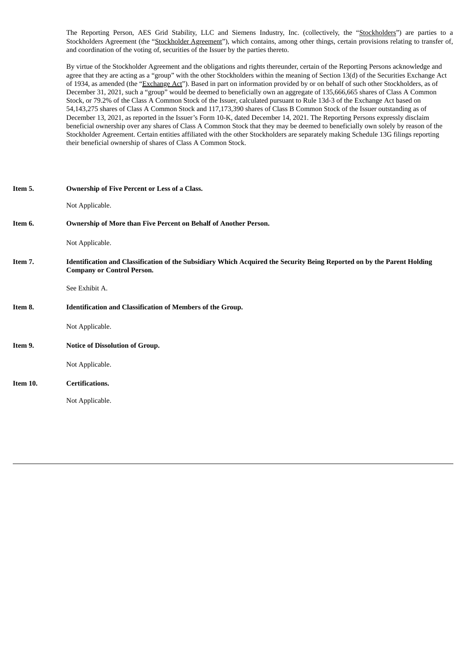The Reporting Person, AES Grid Stability, LLC and Siemens Industry, Inc. (collectively, the "Stockholders") are parties to a Stockholders Agreement (the "Stockholder Agreement"), which contains, among other things, certain provisions relating to transfer of, and coordination of the voting of, securities of the Issuer by the parties thereto.

By virtue of the Stockholder Agreement and the obligations and rights thereunder, certain of the Reporting Persons acknowledge and agree that they are acting as a "group" with the other Stockholders within the meaning of Section 13(d) of the Securities Exchange Act of 1934, as amended (the "Exchange Act"). Based in part on information provided by or on behalf of such other Stockholders, as of December 31, 2021, such a "group" would be deemed to beneficially own an aggregate of 135,666,665 shares of Class A Common Stock, or 79.2% of the Class A Common Stock of the Issuer, calculated pursuant to Rule 13d-3 of the Exchange Act based on 54,143,275 shares of Class A Common Stock and 117,173,390 shares of Class B Common Stock of the Issuer outstanding as of December 13, 2021, as reported in the Issuer's Form 10-K, dated December 14, 2021. The Reporting Persons expressly disclaim beneficial ownership over any shares of Class A Common Stock that they may be deemed to beneficially own solely by reason of the Stockholder Agreement. Certain entities affiliated with the other Stockholders are separately making Schedule 13G filings reporting their beneficial ownership of shares of Class A Common Stock.

| Item 5.  | Ownership of Five Percent or Less of a Class.                                                                                                                |
|----------|--------------------------------------------------------------------------------------------------------------------------------------------------------------|
|          | Not Applicable.                                                                                                                                              |
| Item 6.  | Ownership of More than Five Percent on Behalf of Another Person.                                                                                             |
|          | Not Applicable.                                                                                                                                              |
| Item 7.  | Identification and Classification of the Subsidiary Which Acquired the Security Being Reported on by the Parent Holding<br><b>Company or Control Person.</b> |
|          | See Exhibit A.                                                                                                                                               |
| Item 8.  | Identification and Classification of Members of the Group.                                                                                                   |
|          | Not Applicable.                                                                                                                                              |
| Item 9.  | <b>Notice of Dissolution of Group.</b>                                                                                                                       |
|          | Not Applicable.                                                                                                                                              |
| Item 10. | <b>Certifications.</b>                                                                                                                                       |
|          | Not Applicable.                                                                                                                                              |
|          |                                                                                                                                                              |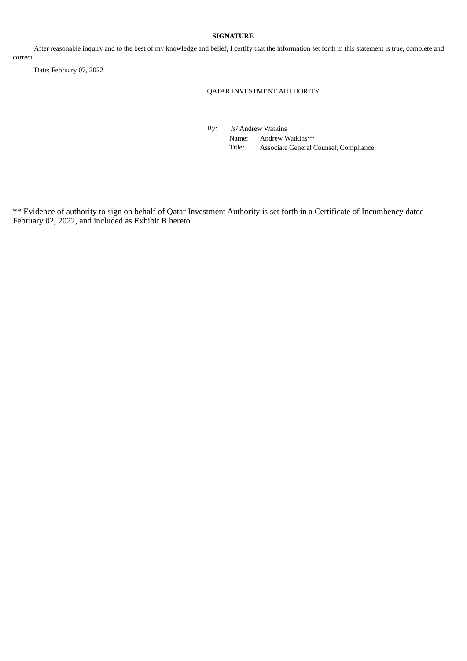### **SIGNATURE**

After reasonable inquiry and to the best of my knowledge and belief, I certify that the information set forth in this statement is true, complete and correct.

Date: February 07, 2022

QATAR INVESTMENT AUTHORITY

By: /s/ Andrew Watkins

Name: Andrew Watkins\*\* Title: Associate General Counsel, Compliance

\*\* Evidence of authority to sign on behalf of Qatar Investment Authority is set forth in a Certificate of Incumbency dated February 02, 2022, and included as Exhibit B hereto.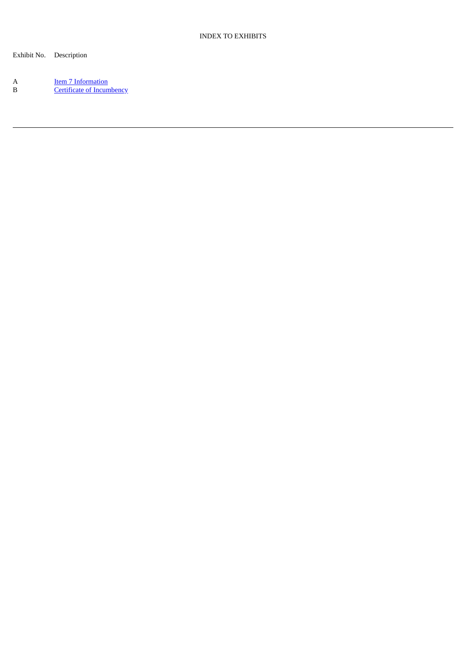Exhibit No. Description

A Item 7 [Information](#page-6-0) B **Certificate of [Incumbency](#page-7-0)**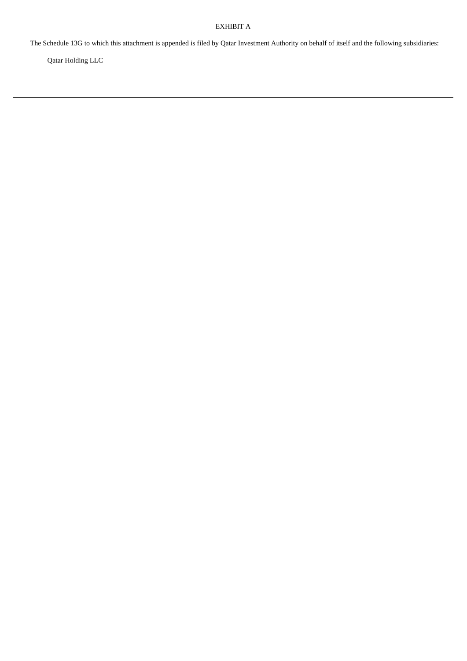# EXHIBIT A

<span id="page-6-0"></span>The Schedule 13G to which this attachment is appended is filed by Qatar Investment Authority on behalf of itself and the following subsidiaries:

Qatar Holding LLC